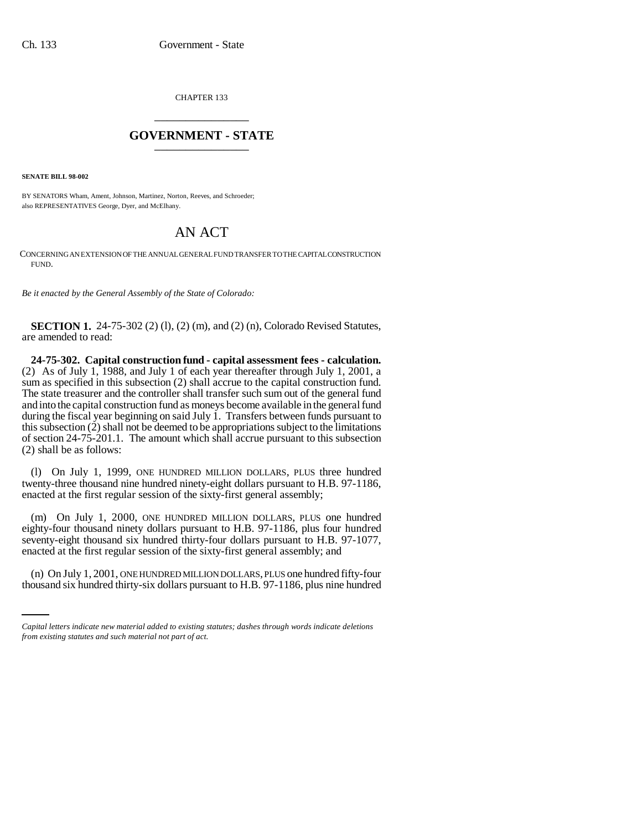CHAPTER 133 \_\_\_\_\_\_\_\_\_\_\_\_\_\_\_

## **GOVERNMENT - STATE** \_\_\_\_\_\_\_\_\_\_\_\_\_\_\_

**SENATE BILL 98-002**

BY SENATORS Wham, Ament, Johnson, Martinez, Norton, Reeves, and Schroeder; also REPRESENTATIVES George, Dyer, and McElhany.

## AN ACT

CONCERNING AN EXTENSION OF THE ANNUAL GENERAL FUND TRANSFER TO THE CAPITAL CONSTRUCTION FUND.

*Be it enacted by the General Assembly of the State of Colorado:*

**SECTION 1.** 24-75-302 (2) (1), (2) (m), and (2) (n), Colorado Revised Statutes, are amended to read:

**24-75-302. Capital construction fund - capital assessment fees - calculation.** (2) As of July 1, 1988, and July 1 of each year thereafter through July 1, 2001, a sum as specified in this subsection (2) shall accrue to the capital construction fund. The state treasurer and the controller shall transfer such sum out of the general fund and into the capital construction fund as moneys become available in the general fund during the fiscal year beginning on said July 1. Transfers between funds pursuant to this subsection (2) shall not be deemed to be appropriations subject to the limitations of section 24-75-201.1. The amount which shall accrue pursuant to this subsection (2) shall be as follows:

(l) On July 1, 1999, ONE HUNDRED MILLION DOLLARS, PLUS three hundred twenty-three thousand nine hundred ninety-eight dollars pursuant to H.B. 97-1186, enacted at the first regular session of the sixty-first general assembly;

(m) On July 1, 2000, ONE HUNDRED MILLION DOLLARS, PLUS one hundred eighty-four thousand ninety dollars pursuant to H.B. 97-1186, plus four hundred seventy-eight thousand six hundred thirty-four dollars pursuant to H.B. 97-1077, enacted at the first regular session of the sixty-first general assembly; and

(n) On July 1, 2001, ONE HUNDRED MILLION DOLLARS, PLUS one hundred fifty-four thousand six hundred thirty-six dollars pursuant to H.B. 97-1186, plus nine hundred

*Capital letters indicate new material added to existing statutes; dashes through words indicate deletions from existing statutes and such material not part of act.*